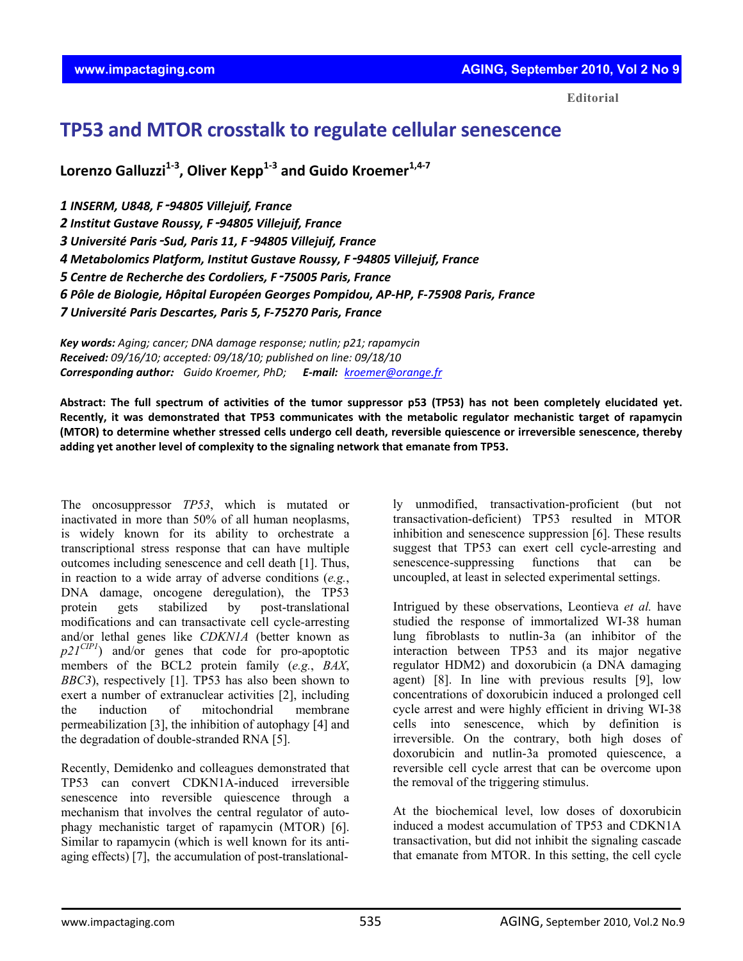**Editorial**

## **TP53 and MTOR crosstalk to regulate cellular senescence**

**Lorenzo Galluzzi1‐<sup>3</sup> , Oliver Kepp1‐<sup>3</sup> and Guido Kroemer1,4‐<sup>7</sup>**

 *INSERM, U848, F*‑*94805 Villejuif, France Institut Gustave Roussy, F*‑*94805 Villejuif, France Université Paris*‑*Sud, Paris 11, F*‑*94805 Villejuif, France Metabolomics Platform, Institut Gustave Roussy, F*‑*94805 Villejuif, France Centre de Recherche des Cordoliers, F*‑*75005 Paris, France Pôle de Biologie, Hôpital Européen Georges Pompidou, AP‐HP, F‐75908 Paris, France Université Paris Descartes, Paris 5, F‐75270 Paris, France*

*Key words: Aging; cancer; DNA damage response; nutlin; p21; rapamycin Received: 09/16/10; accepted: 09/18/10; published on line: 09/18/10 Corresponding author: Guido Kroemer, PhD; E‐mail: kroemer@orange.fr*

Abstract: The full spectrum of activities of the tumor suppressor p53 (TP53) has not been completely elucidated yet. **Recently, it was demonstrated that TP53 communicates with the metabolic regulator mechanistic target of rapamycin** (MTOR) to determine whether stressed cells undergo cell death, reversible quiescence or irreversible senescence, thereby **adding yet another level of complexity to the signaling network that emanate from TP53.**

The oncosuppressor *TP53*, which is mutated or inactivated in more than 50% of all human neoplasms, is widely known for its ability to orchestrate a transcriptional stress response that can have multiple outcomes including senescence and cell death [1]. Thus, in reaction to a wide array of adverse conditions (*e.g.*, DNA damage, oncogene deregulation), the TP53 protein gets stabilized by post-translational modifications and can transactivate cell cycle-arresting and/or lethal genes like *CDKN1A* (better known as *p21CIP1*) and/or genes that code for pro-apoptotic members of the BCL2 protein family (*e.g.*, *BAX*, *BBC3*), respectively [1]. TP53 has also been shown to exert a number of extranuclear activities [2], including the induction of mitochondrial membrane permeabilization [3], the inhibition of autophagy [4] and the degradation of double-stranded RNA [5].

Recently, Demidenko and colleagues demonstrated that TP53 can convert CDKN1A-induced irreversible senescence into reversible quiescence through a mechanism that involves the central regulator of autophagy mechanistic target of rapamycin (MTOR) [6]. Similar to rapamycin (which is well known for its antiaging effects) [7], the accumulation of post-translationally unmodified, transactivation-proficient (but not transactivation-deficient) TP53 resulted in MTOR inhibition and senescence suppression [6]. These results suggest that TP53 can exert cell cycle-arresting and senescence-suppressing functions that can be uncoupled, at least in selected experimental settings.

Intrigued by these observations, Leontieva *et al.* have studied the response of immortalized WI-38 human lung fibroblasts to nutlin-3a (an inhibitor of the interaction between TP53 and its major negative regulator HDM2) and doxorubicin (a DNA damaging agent) [8]. In line with previous results [9], low concentrations of doxorubicin induced a prolonged cell cycle arrest and were highly efficient in driving WI-38 cells into senescence, which by definition is irreversible. On the contrary, both high doses of doxorubicin and nutlin-3a promoted quiescence, a reversible cell cycle arrest that can be overcome upon the removal of the triggering stimulus.

At the biochemical level, low doses of doxorubicin induced a modest accumulation of TP53 and CDKN1A transactivation, but did not inhibit the signaling cascade that emanate from MTOR. In this setting, the cell cycle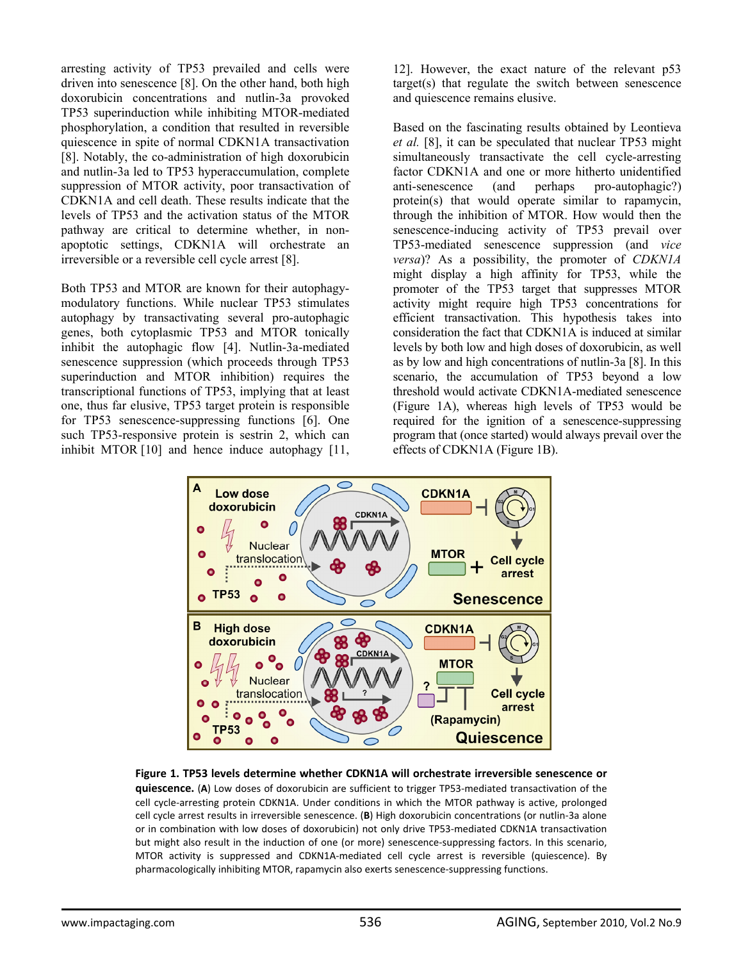arresting activity of TP53 prevailed and cells were driven into senescence [8]. On the other hand, both high doxorubicin concentrations and nutlin-3a provoked TP53 superinduction while inhibiting MTOR-mediated phosphorylation, a condition that resulted in reversible quiescence in spite of normal CDKN1A transactivation [8]. Notably, the co-administration of high doxorubicin and nutlin-3a led to TP53 hyperaccumulation, complete suppression of MTOR activity, poor transactivation of CDKN1A and cell death. These results indicate that the levels of TP53 and the activation status of the MTOR pathway are critical to determine whether, in nonapoptotic settings, CDKN1A will orchestrate an irreversible or a reversible cell cycle arrest [8].

Both TP53 and MTOR are known for their autophagymodulatory functions. While nuclear TP53 stimulates autophagy by transactivating several pro-autophagic genes, both cytoplasmic TP53 and MTOR tonically inhibit the autophagic flow [4]. Nutlin-3a-mediated senescence suppression (which proceeds through TP53 superinduction and MTOR inhibition) requires the transcriptional functions of TP53, implying that at least one, thus far elusive, TP53 target protein is responsible for TP53 senescence-suppressing functions [6]. One such TP53-responsive protein is sestrin 2, which can inhibit MTOR [10] and hence induce autophagy [11,

12]. However, the exact nature of the relevant p53 target(s) that regulate the switch between senescence and quiescence remains elusive.

Based on the fascinating results obtained by Leontieva *et al.* [8], it can be speculated that nuclear TP53 might simultaneously transactivate the cell cycle-arresting factor CDKN1A and one or more hitherto unidentified anti-senescence (and perhaps pro-autophagic?) protein(s) that would operate similar to rapamycin, through the inhibition of MTOR. How would then the senescence-inducing activity of TP53 prevail over TP53-mediated senescence suppression (and *vice versa*)? As a possibility, the promoter of *CDKN1A*  might display a high affinity for TP53, while the promoter of the TP53 target that suppresses MTOR activity might require high TP53 concentrations for efficient transactivation. This hypothesis takes into consideration the fact that CDKN1A is induced at similar levels by both low and high doses of doxorubicin, as well as by low and high concentrations of nutlin-3a [8]. In this scenario, the accumulation of TP53 beyond a low threshold would activate CDKN1A-mediated senescence (Figure 1A), whereas high levels of TP53 would be required for the ignition of a senescence-suppressing program that (once started) would always prevail over the effects of CDKN1A (Figure 1B).



**Figure 1. TP53 levels determine whether CDKN1A will orchestrate irreversible senescence or quiescence.** (**A**) Low doses of doxorubicin are sufficient to trigger TP53‐mediated transactivation of the cell cycle‐arresting protein CDKN1A. Under conditions in which the MTOR pathway is active, prolonged cell cycle arrest results in irreversible senescence. (**B**) High doxorubicin concentrations (or nutlin‐3a alone or in combination with low doses of doxorubicin) not only drive TP53-mediated CDKN1A transactivation but might also result in the induction of one (or more) senescence-suppressing factors. In this scenario, MTOR activity is suppressed and CDKN1A-mediated cell cycle arrest is reversible (quiescence). By pharmacologically inhibiting MTOR, rapamycin also exerts senescence‐suppressing functions.